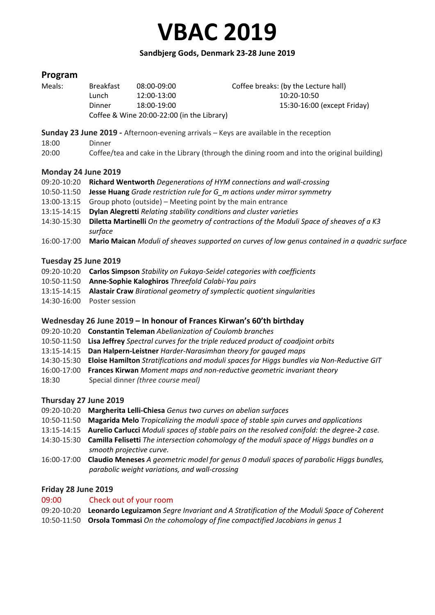# **Sandbjerg Gods, Denmark 23-28 June 2019**

# **Program**

| Meals: | <b>Breakfast</b>                           | 08:00-09:00 | Coffee breaks: (by the Lecture hall) |
|--------|--------------------------------------------|-------------|--------------------------------------|
|        | Lunch                                      | 12:00-13:00 | 10:20-10:50                          |
|        | Dinner                                     | 18:00-19:00 | 15:30-16:00 (except Friday)          |
|        | Coffee & Wine 20:00-22:00 (in the Library) |             |                                      |

**Sunday 23 June 2019 -** Afternoon-evening arrivals – Keys are available in the reception

- 18:00 Dinner
- 20:00 Coffee/tea and cake in the Library (through the dining room and into the original building)

# **Monday 24 June 2019**

- 09:20-10:20 **Richard Wentworth** *Degenerations of HYM connections and wall-crossing*
- 10:50-11:50 **Jesse Huang** *Grade restriction rule for G\_m actions under mirror symmetry*
- 13:00-13:15 Group photo (outside) Meeting point by the main entrance
- 13:15-14:15 **Dylan Alegretti** *Relating stability conditions and cluster varieties*
- 14:30-15:30 **Diletta Martinelli** *On the geometry of contractions of the Moduli Space of sheaves of a K3 surface*
- 16:00-17:00 **Mario Maican** *Moduli of sheaves supported on curves of low genus contained in a quadric surface*

# **Tuesday 25 June 2019**

- 09:20-10:20 **Carlos Simpson** *Stability on Fukaya-Seidel categories with coefficients*
- 10:50-11:50 **Anne-Sophie Kaloghiros** *Threefold Calabi-Yau pairs*
- 13:15-14:15 **Alastair Craw** *Birational geometry of symplectic quotient singularities*
- 14:30-16:00 Poster session

# **Wednesday 26 June 2019 – In honour of Frances Kirwan's 60'th birthday**

- 09:20-10:20 **Constantin Teleman** *Abelianization of Coulomb branches*
- 10:50-11:50 **Lisa Jeffrey** *Spectral curves for the triple reduced product of coadjoint orbits*
- 13:15-14:15 **Dan Halpern-Leistner** *Harder-Narasimhan theory for gauged maps*
- 14:30-15:30 **Eloise Hamilton** *Stratifications and moduli spaces for Higgs bundles via Non-Reductive GIT*
- 16:00-17:00 **Frances Kirwan** *Moment maps and non-reductive geometric invariant theory* 18:30 Special dinner *(three course meal)*

# **Thursday 27 June 2019**

- 09:20-10:20 **Margherita Lelli-Chiesa** *Genus two curves on abelian surfaces*
- 10:50-11:50 **Magarida Melo** *Tropicalizing the moduli space of stable spin curves and applications*
- 13:15-14:15 **Aurelio Carlucci** *Moduli spaces of stable pairs on the resolved conifold: the degree-2 case.*
- 14:30-15:30 **Camilla Felisetti** *The intersection cohomology of the moduli space of Higgs bundles on a smooth projective curve.*
- 16:00-17:00 **Claudio Meneses** *A geometric model for genus 0 moduli spaces of parabolic Higgs bundles, parabolic weight variations, and wall-crossing*

# **Friday 28 June 2019**

- 09:00 Check out of your room
- 09:20-10:20 **Leonardo Leguizamon** *Segre Invariant and A Stratification of the Moduli Space of Coherent* 10:50-11:50 **Orsola Tommasi** *On the cohomology of fine compactified Jacobians in genus 1*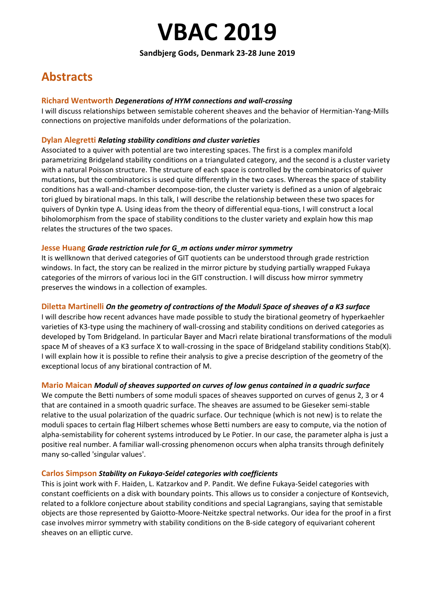#### **Sandbjerg Gods, Denmark 23-28 June 2019**

# **Abstracts**

#### **Richard Wentworth** *Degenerations of HYM connections and wall-crossing*

I will discuss relationships between semistable coherent sheaves and the behavior of Hermitian-Yang-Mills connections on projective manifolds under deformations of the polarization.

#### **Dylan Alegretti** *Relating stability conditions and cluster varieties*

Associated to a quiver with potential are two interesting spaces. The first is a complex manifold parametrizing Bridgeland stability conditions on a triangulated category, and the second is a cluster variety with a natural Poisson structure. The structure of each space is controlled by the combinatorics of quiver mutations, but the combinatorics is used quite differently in the two cases. Whereas the space of stability conditions has a wall-and-chamber decompose-tion, the cluster variety is defined as a union of algebraic tori glued by birational maps. In this talk, I will describe the relationship between these two spaces for quivers of Dynkin type A. Using ideas from the theory of differential equa-tions, I will construct a local biholomorphism from the space of stability conditions to the cluster variety and explain how this map relates the structures of the two spaces.

#### **Jesse Huang** *Grade restriction rule for G\_m actions under mirror symmetry*

It is wellknown that derived categories of GIT quotients can be understood through grade restriction windows. In fact, the story can be realized in the mirror picture by studying partially wrapped Fukaya categories of the mirrors of various loci in the GIT construction. I will discuss how mirror symmetry preserves the windows in a collection of examples.

# **Diletta Martinelli** *On the geometry of contractions of the Moduli Space of sheaves of a K3 surface*

I will describe how recent advances have made possible to study the birational geometry of hyperkaehler varieties of K3-type using the machinery of wall-crossing and stability conditions on derived categories as developed by Tom Bridgeland. In particular Bayer and Macrì relate birational transformations of the moduli space M of sheaves of a K3 surface X to wall-crossing in the space of Bridgeland stability conditions Stab(X). I will explain how it is possible to refine their analysis to give a precise description of the geometry of the exceptional locus of any birational contraction of M.

# **Mario Maican** *Moduli of sheaves supported on curves of low genus contained in a quadric surface*

We compute the Betti numbers of some moduli spaces of sheaves supported on curves of genus 2, 3 or 4 that are contained in a smooth quadric surface. The sheaves are assumed to be Gieseker semi-stable relative to the usual polarization of the quadric surface. Our technique (which is not new) is to relate the moduli spaces to certain flag Hilbert schemes whose Betti numbers are easy to compute, via the notion of alpha-semistability for coherent systems introduced by Le Potier. In our case, the parameter alpha is just a positive real number. A familiar wall-crossing phenomenon occurs when alpha transits through definitely many so-called 'singular values'.

#### **Carlos Simpson** *Stability on Fukaya-Seidel categories with coefficients*

This is joint work with F. Haiden, L. Katzarkov and P. Pandit. We define Fukaya-Seidel categories with constant coefficients on a disk with boundary points. This allows us to consider a conjecture of Kontsevich, related to a folklore conjecture about stability conditions and special Lagrangians, saying that semistable objects are those represented by Gaiotto-Moore-Neitzke spectral networks. Our idea for the proof in a first case involves mirror symmetry with stability conditions on the B-side category of equivariant coherent sheaves on an elliptic curve.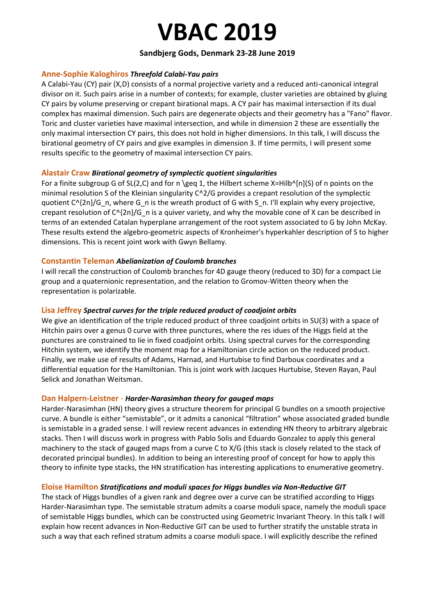# **Sandbjerg Gods, Denmark 23-28 June 2019**

#### **Anne-Sophie Kaloghiros** *Threefold Calabi-Yau pairs*

A Calabi-Yau (CY) pair (X,D) consists of a normal projective variety and a reduced anti-canonical integral divisor on it. Such pairs arise in a number of contexts; for example, cluster varieties are obtained by gluing CY pairs by volume preserving or crepant birational maps. A CY pair has maximal intersection if its dual complex has maximal dimension. Such pairs are degenerate objects and their geometry has a "Fano" flavor. Toric and cluster varieties have maximal intersection, and while in dimension 2 these are essentially the only maximal intersection CY pairs, this does not hold in higher dimensions. In this talk, I will discuss the birational geometry of CY pairs and give examples in dimension 3. If time permits, I will present some results specific to the geometry of maximal intersection CY pairs.

#### **Alastair Craw** *Birational geometry of symplectic quotient singularities*

For a finite subgroup G of SL(2,C) and for n \geq 1, the Hilbert scheme X=Hilb^[n](S) of n points on the minimal resolution S of the Kleinian singularity C^2/G provides a crepant resolution of the symplectic quotient C^{2n}/G\_n, where G\_n is the wreath product of G with S\_n. I'll explain why every projective, crepant resolution of  $C^{2}(2n)/G$  n is a quiver variety, and why the movable cone of X can be described in terms of an extended Catalan hyperplane arrangement of the root system associated to G by John McKay. These results extend the algebro-geometric aspects of Kronheimer's hyperkahler description of S to higher dimensions. This is recent joint work with Gwyn Bellamy.

#### **Constantin Teleman** *Abelianization of Coulomb branches*

I will recall the construction of Coulomb branches for 4D gauge theory (reduced to 3D) for a compact Lie group and a quaternionic representation, and the relation to Gromov-Witten theory when the representation is polarizable.

#### **Lisa Jeffrey** *Spectral curves for the triple reduced product of coadjoint orbits*

We give an identification of the triple reduced product of three coadjoint orbits in SU(3) with a space of Hitchin pairs over a genus 0 curve with three punctures, where the res idues of the Higgs field at the punctures are constrained to lie in fixed coadjoint orbits. Using spectral curves for the corresponding Hitchin system, we identify the moment map for a Hamiltonian circle action on the reduced product. Finally, we make use of results of Adams, Harnad, and Hurtubise to find Darboux coordinates and a differential equation for the Hamiltonian. This is joint work with Jacques Hurtubise, Steven Rayan, Paul Selick and Jonathan Weitsman.

#### **Dan Halpern-Leistner** - *Harder-Narasimhan theory for gauged maps*

Harder-Narasimhan (HN) theory gives a structure theorem for principal G bundles on a smooth projective curve. A bundle is either "semistable", or it admits a canonical "filtration" whose associated graded bundle is semistable in a graded sense. I will review recent advances in extending HN theory to arbitrary algebraic stacks. Then I will discuss work in progress with Pablo Solis and Eduardo Gonzalez to apply this general machinery to the stack of gauged maps from a curve C to X/G (this stack is closely related to the stack of decorated principal bundles). In addition to being an interesting proof of concept for how to apply this theory to infinite type stacks, the HN stratification has interesting applications to enumerative geometry.

# **Eloise Hamilton** *Stratifications and moduli spaces for Higgs bundles via Non-Reductive GIT*

The stack of Higgs bundles of a given rank and degree over a curve can be stratified according to Higgs Harder-Narasimhan type. The semistable stratum admits a coarse moduli space, namely the moduli space of semistable Higgs bundles, which can be constructed using Geometric Invariant Theory. In this talk I will explain how recent advances in Non-Reductive GIT can be used to further stratify the unstable strata in such a way that each refined stratum admits a coarse moduli space. I will explicitly describe the refined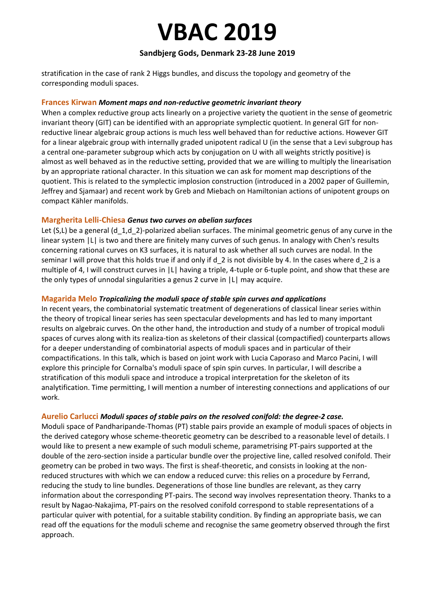# **Sandbjerg Gods, Denmark 23-28 June 2019**

stratification in the case of rank 2 Higgs bundles, and discuss the topology and geometry of the corresponding moduli spaces.

#### **Frances Kirwan** *Moment maps and non-reductive geometric invariant theory*

When a complex reductive group acts linearly on a projective variety the quotient in the sense of geometric invariant theory (GIT) can be identified with an appropriate symplectic quotient. In general GIT for nonreductive linear algebraic group actions is much less well behaved than for reductive actions. However GIT for a linear algebraic group with internally graded unipotent radical U (in the sense that a Levi subgroup has a central one-parameter subgroup which acts by conjugation on U with all weights strictly positive) is almost as well behaved as in the reductive setting, provided that we are willing to multiply the linearisation by an appropriate rational character. In this situation we can ask for moment map descriptions of the quotient. This is related to the symplectic implosion construction (introduced in a 2002 paper of Guillemin, Jeffrey and Sjamaar) and recent work by Greb and Miebach on Hamiltonian actions of unipotent groups on compact Kähler manifolds.

#### **Margherita Lelli-Chiesa** *Genus two curves on abelian surfaces*

Let (S,L) be a general (d 1,d 2)-polarized abelian surfaces. The minimal geometric genus of any curve in the linear system |L| is two and there are finitely many curves of such genus. In analogy with Chen's results concerning rational curves on K3 surfaces, it is natural to ask whether all such curves are nodal. In the seminar I will prove that this holds true if and only if d 2 is not divisible by 4. In the cases where d 2 is a multiple of 4, I will construct curves in |L| having a triple, 4-tuple or 6-tuple point, and show that these are the only types of unnodal singularities a genus 2 curve in |L| may acquire.

# **Magarida Melo** *Tropicalizing the moduli space of stable spin curves and applications*

In recent years, the combinatorial systematic treatment of degenerations of classical linear series within the theory of tropical linear series has seen spectacular developments and has led to many important results on algebraic curves. On the other hand, the introduction and study of a number of tropical moduli spaces of curves along with its realiza-tion as skeletons of their classical (compactified) counterparts allows for a deeper understanding of combinatorial aspects of moduli spaces and in particular of their compactifications. In this talk, which is based on joint work with Lucia Caporaso and Marco Pacini, I will explore this principle for Cornalba's moduli space of spin spin curves. In particular, I will describe a stratification of this moduli space and introduce a tropical interpretation for the skeleton of its analytification. Time permitting, I will mention a number of interesting connections and applications of our work.

# **Aurelio Carlucci** *Moduli spaces of stable pairs on the resolved conifold: the degree-2 case.*

Moduli space of Pandharipande-Thomas (PT) stable pairs provide an example of moduli spaces of objects in the derived category whose scheme-theoretic geometry can be described to a reasonable level of details. I would like to present a new example of such moduli scheme, parametrising PT-pairs supported at the double of the zero-section inside a particular bundle over the projective line, called resolved conifold. Their geometry can be probed in two ways. The first is sheaf-theoretic, and consists in looking at the nonreduced structures with which we can endow a reduced curve: this relies on a procedure by Ferrand, reducing the study to line bundles. Degenerations of those line bundles are relevant, as they carry information about the corresponding PT-pairs. The second way involves representation theory. Thanks to a result by Nagao-Nakajima, PT-pairs on the resolved conifold correspond to stable representations of a particular quiver with potential, for a suitable stability condition. By finding an appropriate basis, we can read off the equations for the moduli scheme and recognise the same geometry observed through the first approach.